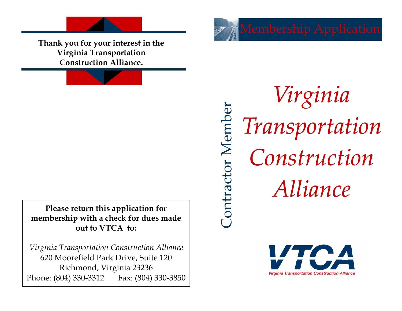**Thank you for your interest in the Virginia Transportation Construction Alliance.**

**Please return this application for membership with a check for dues made out to VTCA to:** 

*Virginia Transportation Construction Alliance*  620 Moorefield Park Drive, Suite 120 Richmond, Virginia 23236 Phone: (804) 330-3312 Fax: (804) 330-3850

*Virginia*  Contractor Member Contractor Member *Transportation Construction Alliance*

**Virginia Transportation Construction Alliance**